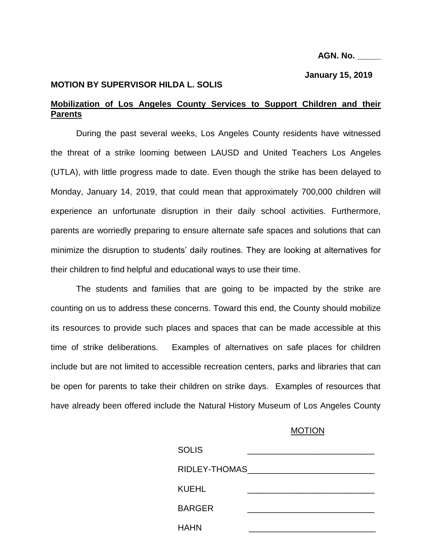#### **AGN. No. \_\_\_\_\_**

#### **January 15, 2019**

## **MOTION BY SUPERVISOR HILDA L. SOLIS**

# **Mobilization of Los Angeles County Services to Support Children and their Parents**

During the past several weeks, Los Angeles County residents have witnessed the threat of a strike looming between LAUSD and United Teachers Los Angeles (UTLA), with little progress made to date. Even though the strike has been delayed to Monday, January 14, 2019, that could mean that approximately 700,000 children will experience an unfortunate disruption in their daily school activities. Furthermore, parents are worriedly preparing to ensure alternate safe spaces and solutions that can minimize the disruption to students' daily routines. They are looking at alternatives for their children to find helpful and educational ways to use their time.

The students and families that are going to be impacted by the strike are counting on us to address these concerns. Toward this end, the County should mobilize its resources to provide such places and spaces that can be made accessible at this time of strike deliberations. Examples of alternatives on safe places for children include but are not limited to accessible recreation centers, parks and libraries that can be open for parents to take their children on strike days. Examples of resources that have already been offered include the Natural History Museum of Los Angeles County

## MOTION

| <b>SOLIS</b>        |  |
|---------------------|--|
| RIDLEY-THOMAS______ |  |
| <b>KUEHL</b>        |  |
| <b>BARGER</b>       |  |
| <b>HAHN</b>         |  |